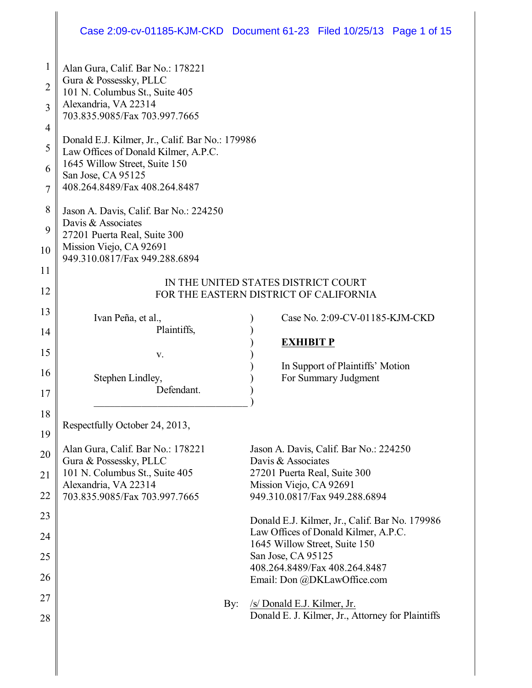### Case 2:09-cv-01185-KJM-CKD Document 61-23 Filed 10/25/13 Page 1 of 15

| 1              | Alan Gura, Calif. Bar No.: 178221                           |                                                                                  |  |  |  |  |
|----------------|-------------------------------------------------------------|----------------------------------------------------------------------------------|--|--|--|--|
| $\overline{2}$ | Gura & Possessky, PLLC<br>101 N. Columbus St., Suite 405    |                                                                                  |  |  |  |  |
| 3              | Alexandria, VA 22314<br>703.835.9085/Fax 703.997.7665       |                                                                                  |  |  |  |  |
| 4              | Donald E.J. Kilmer, Jr., Calif. Bar No.: 179986             |                                                                                  |  |  |  |  |
| 5              | Law Offices of Donald Kilmer, A.P.C.                        |                                                                                  |  |  |  |  |
| 6              | 1645 Willow Street, Suite 150<br>San Jose, CA 95125         |                                                                                  |  |  |  |  |
| 7              | 408.264.8489/Fax 408.264.8487                               |                                                                                  |  |  |  |  |
| 8              | Jason A. Davis, Calif. Bar No.: 224250                      |                                                                                  |  |  |  |  |
| 9              | Davis & Associates<br>27201 Puerta Real, Suite 300          |                                                                                  |  |  |  |  |
| 10             | Mission Viejo, CA 92691<br>949.310.0817/Fax 949.288.6894    |                                                                                  |  |  |  |  |
| 11             | IN THE UNITED STATES DISTRICT COURT                         |                                                                                  |  |  |  |  |
| 12             | FOR THE EASTERN DISTRICT OF CALIFORNIA                      |                                                                                  |  |  |  |  |
| 13             | Ivan Peña, et al.,                                          | Case No. 2:09-CV-01185-KJM-CKD                                                   |  |  |  |  |
| 14             | Plaintiffs,                                                 | <b>EXHIBIT P</b>                                                                 |  |  |  |  |
| 15             | V.                                                          |                                                                                  |  |  |  |  |
| 16             | Stephen Lindley,                                            | In Support of Plaintiffs' Motion<br>For Summary Judgment                         |  |  |  |  |
| 17             | Defendant.                                                  |                                                                                  |  |  |  |  |
| 18             |                                                             |                                                                                  |  |  |  |  |
| 19             | Respectfully October 24, 2013,                              |                                                                                  |  |  |  |  |
| 20             | Alan Gura, Calif. Bar No.: 178221<br>Gura & Possessky, PLLC | Jason A. Davis, Calif. Bar No.: 224250<br>Davis & Associates                     |  |  |  |  |
| 21             | 101 N. Columbus St., Suite 405                              | 27201 Puerta Real, Suite 300                                                     |  |  |  |  |
| 22             | Alexandria, VA 22314<br>703.835.9085/Fax 703.997.7665       | Mission Viejo, CA 92691<br>949.310.0817/Fax 949.288.6894                         |  |  |  |  |
| 23             |                                                             | Donald E.J. Kilmer, Jr., Calif. Bar No. 179986                                   |  |  |  |  |
| 24             |                                                             | Law Offices of Donald Kilmer, A.P.C.                                             |  |  |  |  |
| 25             |                                                             | 1645 Willow Street, Suite 150<br>San Jose, CA 95125                              |  |  |  |  |
| 26             |                                                             | 408.264.8489/Fax 408.264.8487                                                    |  |  |  |  |
|                |                                                             | Email: Don @DKLawOffice.com                                                      |  |  |  |  |
| 27<br>28       | By:                                                         | /s/ Donald E.J. Kilmer, Jr.<br>Donald E. J. Kilmer, Jr., Attorney for Plaintiffs |  |  |  |  |
|                |                                                             |                                                                                  |  |  |  |  |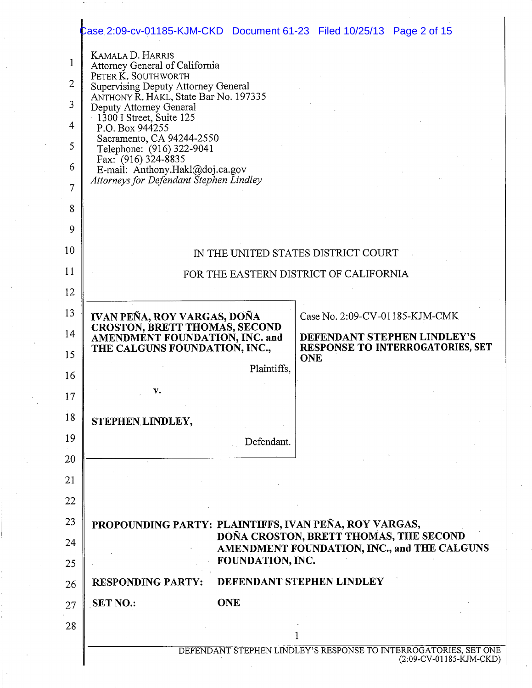# Case 2:09-cv-01185-KJM-CKD Document 61-23 Filed 10/25/13 Page 2 of 15

age of the control of

| 1<br>$\overline{2}$<br>3<br>4<br>5<br>6<br>7<br>8 | KAMALA D. HARRIS<br>Attorney General of California<br>PETER K. SOUTHWORTH<br>Supervising Deputy Attorney General<br>ANTHONY R. HAKL, State Bar No. 197335<br>Deputy Attorney General<br>$1300$ I Street, Suite 125<br>P.O. Box 944255<br>Sacramento, CA 94244-2550<br>Telephone: (916) 322-9041<br>Fax: (916) 324-8835<br>E-mail: Anthony.Hakl@doj.ca.gov<br>Attorneys for Defendant Stephen Lindley |  |  |  |
|---------------------------------------------------|------------------------------------------------------------------------------------------------------------------------------------------------------------------------------------------------------------------------------------------------------------------------------------------------------------------------------------------------------------------------------------------------------|--|--|--|
| 9                                                 |                                                                                                                                                                                                                                                                                                                                                                                                      |  |  |  |
| 10                                                | IN THE UNITED STATES DISTRICT COURT                                                                                                                                                                                                                                                                                                                                                                  |  |  |  |
| 11                                                | FOR THE EASTERN DISTRICT OF CALIFORNIA                                                                                                                                                                                                                                                                                                                                                               |  |  |  |
| 12                                                |                                                                                                                                                                                                                                                                                                                                                                                                      |  |  |  |
| 13                                                | IVAN PEÑA, ROY VARGAS, DOÑA<br>Case No. 2:09-CV-01185-KJM-CMK                                                                                                                                                                                                                                                                                                                                        |  |  |  |
| 14                                                | <b>CROSTON, BRETT THOMAS, SECOND</b><br>AMENDMENT FOUNDATION, INC. and<br>DEFENDANT STEPHEN LINDLEY'S<br>THE CALGUNS FOUNDATION, INC.,<br><b>RESPONSE TO INTERROGATORIES, SET</b>                                                                                                                                                                                                                    |  |  |  |
| 15                                                | ONE<br>Plaintiffs,                                                                                                                                                                                                                                                                                                                                                                                   |  |  |  |
| 16                                                | v.                                                                                                                                                                                                                                                                                                                                                                                                   |  |  |  |
| 17                                                |                                                                                                                                                                                                                                                                                                                                                                                                      |  |  |  |
| 18                                                | STEPHEN LINDLEY,                                                                                                                                                                                                                                                                                                                                                                                     |  |  |  |
| 19                                                | Defendant.                                                                                                                                                                                                                                                                                                                                                                                           |  |  |  |
| 20                                                |                                                                                                                                                                                                                                                                                                                                                                                                      |  |  |  |
| 21                                                |                                                                                                                                                                                                                                                                                                                                                                                                      |  |  |  |
| 22                                                |                                                                                                                                                                                                                                                                                                                                                                                                      |  |  |  |
| 23                                                | PROPOUNDING PARTY: PLAINTIFFS, IVAN PEÑA, ROY VARGAS,<br>DOÑA CROSTON, BRETT THOMAS, THE SECOND                                                                                                                                                                                                                                                                                                      |  |  |  |
| 24<br>25                                          | AMENDMENT FOUNDATION, INC., and THE CALGUNS<br>FOUNDATION, INC.                                                                                                                                                                                                                                                                                                                                      |  |  |  |
| 26                                                | DEFENDANT STEPHEN LINDLEY<br><b>RESPONDING PARTY:</b>                                                                                                                                                                                                                                                                                                                                                |  |  |  |
| 27                                                | <b>ONE</b><br><b>SET NO.:</b>                                                                                                                                                                                                                                                                                                                                                                        |  |  |  |
| 28                                                |                                                                                                                                                                                                                                                                                                                                                                                                      |  |  |  |
|                                                   | DEFENDANT STEPHEN LINDLEY'S RESPONSE TO INTERROGATORIES, SET ONE                                                                                                                                                                                                                                                                                                                                     |  |  |  |
|                                                   | (2:09-CV-01185-KJM-CKD)                                                                                                                                                                                                                                                                                                                                                                              |  |  |  |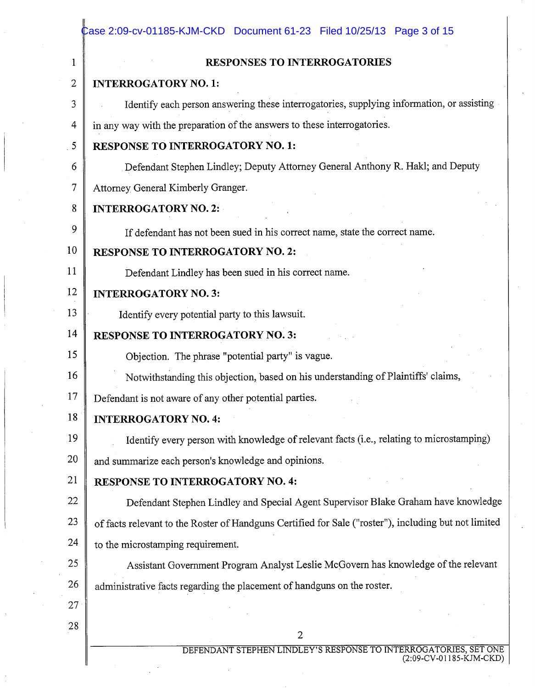| 1              | RESPONSES TO INTERROGATORIES                                                                         |  |  |  |  |  |
|----------------|------------------------------------------------------------------------------------------------------|--|--|--|--|--|
| $\overline{2}$ | <b>INTERROGATORY NO. 1:</b>                                                                          |  |  |  |  |  |
| 3              | Identify each person answering these interrogatories, supplying information, or assisting            |  |  |  |  |  |
| 4              | in any way with the preparation of the answers to these interrogatories.                             |  |  |  |  |  |
| 5              | <b>RESPONSE TO INTERROGATORY NO. 1:</b>                                                              |  |  |  |  |  |
| 6              | Defendant Stephen Lindley; Deputy Attorney General Anthony R. Hakl; and Deputy                       |  |  |  |  |  |
| 7              | Attorney General Kimberly Granger.                                                                   |  |  |  |  |  |
| 8              | <b>INTERROGATORY NO. 2:</b>                                                                          |  |  |  |  |  |
| 9              | If defendant has not been sued in his correct name, state the correct name.                          |  |  |  |  |  |
| 10             | <b>RESPONSE TO INTERROGATORY NO. 2:</b>                                                              |  |  |  |  |  |
| 11             | Defendant Lindley has been sued in his correct name.                                                 |  |  |  |  |  |
| 12             | <b>INTERROGATORY NO. 3:</b>                                                                          |  |  |  |  |  |
| 13             | Identify every potential party to this lawsuit.                                                      |  |  |  |  |  |
| 14             | <b>RESPONSE TO INTERROGATORY NO. 3:</b>                                                              |  |  |  |  |  |
| 15             | Objection. The phrase "potential party" is vague.                                                    |  |  |  |  |  |
| 16             | Notwithstanding this objection, based on his understanding of Plaintiffs' claims,                    |  |  |  |  |  |
| 17             | Defendant is not aware of any other potential parties.                                               |  |  |  |  |  |
| 18             | <b>INTERROGATORY NO. 4:</b>                                                                          |  |  |  |  |  |
| 19             | Identify every person with knowledge of relevant facts (i.e., relating to microstamping)             |  |  |  |  |  |
| 20             | and summarize each person's knowledge and opinions.                                                  |  |  |  |  |  |
| 21             | <b>RESPONSE TO INTERROGATORY NO. 4:</b>                                                              |  |  |  |  |  |
| 22             | Defendant Stephen Lindley and Special Agent Supervisor Blake Graham have knowledge                   |  |  |  |  |  |
| 23             | of facts relevant to the Roster of Handguns Certified for Sale ("roster"), including but not limited |  |  |  |  |  |
| 24             | to the microstamping requirement.                                                                    |  |  |  |  |  |
| 25             | Assistant Government Program Analyst Leslie McGovern has knowledge of the relevant                   |  |  |  |  |  |
| 26             | administrative facts regarding the placement of handguns on the roster.                              |  |  |  |  |  |
| 27             |                                                                                                      |  |  |  |  |  |
| 28             | $\overline{2}$                                                                                       |  |  |  |  |  |

 $\sim 10^{-11}$ 

 $\frac{1}{2}$  .

 $\mathbb{R}^2$ 

 $\mathcal{H}_{\mathrm{c}}$  .

 $\frac{d\mathbf{r}}{d\mathbf{r}} = \frac{1}{2} \mathbf{r} \mathbf{r} \label{eq:1}$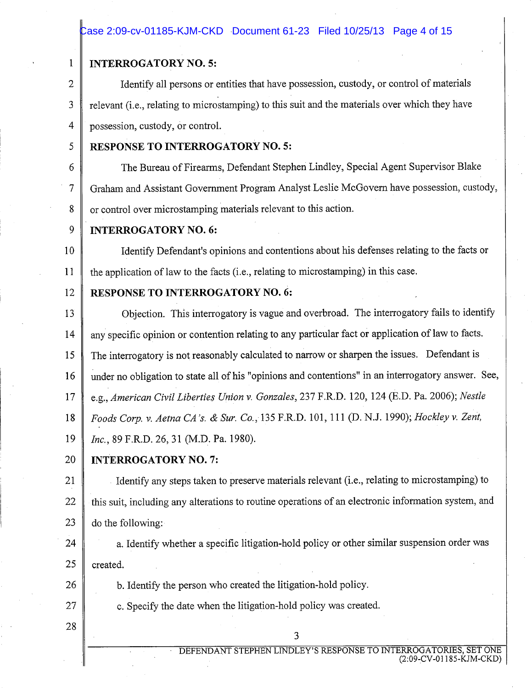#### Case 2:09-cv-01185-KJM-CKD Document 61-23 Filed 10/25/13 Page 4 of 15

#### **INTERROGATORY NO. 5:**

Identify all persons or entities that have possession, custody, or control of materials relevant (*i.e.*, relating to microstamping) to this suit and the materials over which they have possession, custody, or control.

5

6

7

26

27

28

 $\mathbf{1}$ 

 $\overline{2}$ 

3

 $\overline{4}$ 

#### **RESPONSE TO INTERROGATORY NO. 5:**

The Bureau of Firearms, Defendant Stephen Lindley, Special Agent Supervisor Blake Graham and Assistant Government Program Analyst Leslie McGovern have possession, custody, 8 or control over microstamping materials relevant to this action.

9 **INTERROGATORY NO. 6:** 

Identify Defendant's opinions and contentions about his defenses relating to the facts or 10 11 the application of law to the facts (i.e., relating to microstamping) in this case.

#### RESPONSE TO INTERROGATORY NO. 6: 12

Objection. This interrogatory is vague and overbroad. The interrogatory fails to identify 13 any specific opinion or contention relating to any particular fact or application of law to facts. 14 15 The interrogatory is not reasonably calculated to narrow or sharpen the issues. Defendant is under no obligation to state all of his "opinions and contentions" in an interrogatory answer. See, 16 e.g., American Civil Liberties Union v. Gonzales, 237 F.R.D. 120, 124 (E.D. Pa. 2006); Nestle 17 Foods Corp. v. Aetna CA's. & Sur. Co., 135 F.R.D. 101, 111 (D. N.J. 1990); Hockley v. Zent,  $18$ 19 Inc., 89 F.R.D. 26, 31 (M.D. Pa. 1980). 20

### **INTERROGATORY NO. 7:**

Identify any steps taken to preserve materials relevant (i.e., relating to microstamping) to 21 22 this suit, including any alterations to routine operations of an electronic information system, and 23 do the following:

a. Identify whether a specific litigation-hold policy or other similar suspension order was 24 25 created.

b. Identify the person who created the litigation-hold policy.

c. Specify the date when the litigation-hold policy was created.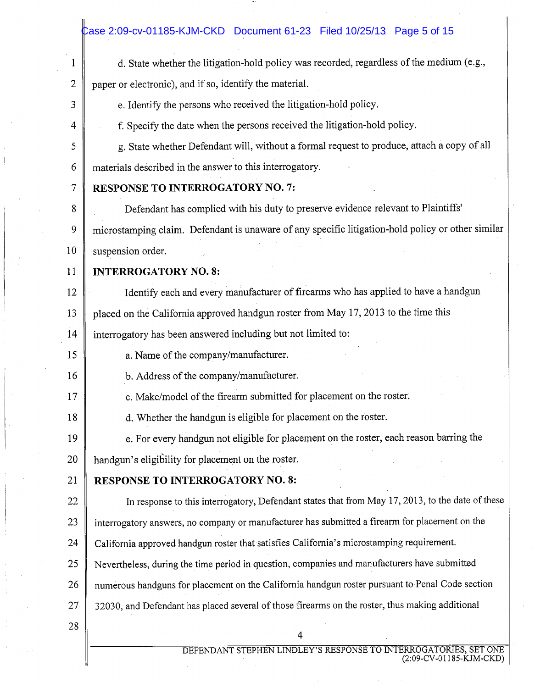|                 | Case 2:09-cv-01185-KJM-CKD Document 61-23 Filed 10/25/13 Page 5 of 15                             |  |  |  |  |  |
|-----------------|---------------------------------------------------------------------------------------------------|--|--|--|--|--|
| $\mathbf 1$     | d. State whether the litigation-hold policy was recorded, regardless of the medium (e.g.,         |  |  |  |  |  |
| 2               | paper or electronic), and if so, identify the material.                                           |  |  |  |  |  |
| 3               | e. Identify the persons who received the litigation-hold policy.                                  |  |  |  |  |  |
| 4               | f. Specify the date when the persons received the litigation-hold policy.                         |  |  |  |  |  |
| 5               | g. State whether Defendant will, without a formal request to produce, attach a copy of all        |  |  |  |  |  |
| 6               | materials described in the answer to this interrogatory.                                          |  |  |  |  |  |
| 7               | <b>RESPONSE TO INTERROGATORY NO. 7:</b>                                                           |  |  |  |  |  |
| 8               | Defendant has complied with his duty to preserve evidence relevant to Plaintiffs'                 |  |  |  |  |  |
| 9               | microstamping claim. Defendant is unaware of any specific litigation-hold policy or other similar |  |  |  |  |  |
| 10              | suspension order.                                                                                 |  |  |  |  |  |
| 11              | <b>INTERROGATORY NO. 8:</b>                                                                       |  |  |  |  |  |
| 12              | Identify each and every manufacturer of firearms who has applied to have a handgun                |  |  |  |  |  |
| 13              | placed on the California approved handgun roster from May 17, 2013 to the time this               |  |  |  |  |  |
| 14              | interrogatory has been answered including but not limited to:                                     |  |  |  |  |  |
| 15              | a. Name of the company/manufacturer.                                                              |  |  |  |  |  |
| 16              | b. Address of the company/manufacturer.                                                           |  |  |  |  |  |
| 17              | c. Make/model of the firearm submitted for placement on the roster.                               |  |  |  |  |  |
| 18              | d. Whether the handgun is eligible for placement on the roster.                                   |  |  |  |  |  |
| 19              | e. For every handgun not eligible for placement on the roster, each reason barring the            |  |  |  |  |  |
| 20              | handgun's eligibility for placement on the roster.                                                |  |  |  |  |  |
| 21              | <b>RESPONSE TO INTERROGATORY NO. 8:</b>                                                           |  |  |  |  |  |
| 22              | In response to this interrogatory, Defendant states that from May 17, 2013, to the date of these  |  |  |  |  |  |
| 23              | interrogatory answers, no company or manufacturer has submitted a firearm for placement on the    |  |  |  |  |  |
| 24              | California approved handgun roster that satisfies California's microstamping requirement.         |  |  |  |  |  |
| 25              | Nevertheless, during the time period in question, companies and manufacturers have submitted      |  |  |  |  |  |
| 26              | numerous handguns for placement on the California handgun roster pursuant to Penal Code section   |  |  |  |  |  |
| 27 <sub>2</sub> | 32030, and Defendant has placed several of those firearms on the roster, thus making additional   |  |  |  |  |  |
| 28              |                                                                                                   |  |  |  |  |  |

<sup>4</sup>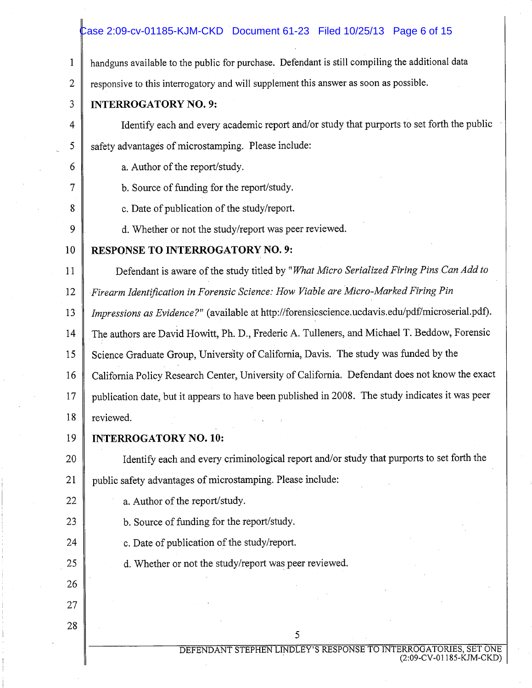### $\text{Case 2:09-cv-01185-KJM-CKD}$  Document 61-23 Filed 10/25/13 Page 6 of 15

handguns available to the public for purchase. Defendant is still compiling the additional data  $\mathbf{1}$ 

 $\overline{2}$ responsive to this interrogatory and will supplement this answer as soon as possible.

### **INTERROGATORY NO. 9:**

3

 $\overline{4}$ 

5

6

 $\overline{7}$ 

8

9

 $11$ 

Identify each and every academic report and/or study that purports to set forth the public safety advantages of microstamping. Please include:

a. Author of the report/study.

b. Source of funding for the report/study.

c. Date of publication of the study/report.

d. Whether or not the study/report was peer reviewed.

#### 10 **RESPONSE TO INTERROGATORY NO. 9:**

Defendant is aware of the study titled by "What Micro Serialized Firing Pins Can Add to

Firearm Identification in Forensic Science: How Viable are Micro-Marked Firing Pin 12

Impressions as Evidence?" (available at http://forensicscience.ucdavis.edu/pdf/microserial.pdf). 13

The authors are David Howitt, Ph. D., Frederic A. Tulleners, and Michael T. Beddow, Forensic 14

15 Science Graduate Group, University of California, Davis. The study was funded by the

California Policy Research Center, University of California. Defendant does not know the exact 16

17 publication date, but it appears to have been published in 2008. The study indicates it was peer

18 reviewed.

#### 19 **INTERROGATORY NO. 10:**

Identify each and every criminological report and/or study that purports to set forth the 20 public safety advantages of microstamping. Please include: 21

22 a. Author of the report/study.

23 b. Source of funding for the report/study.

24 c. Date of publication of the study/report.

d. Whether or not the study/report was peer reviewed.

28

25

26

27

DEFENDANT STEPHEN LINDLEY'S RESPONSE TO INTERROGATORIES, SET ONE (2:09-CV-01185-KJM-CKD)

5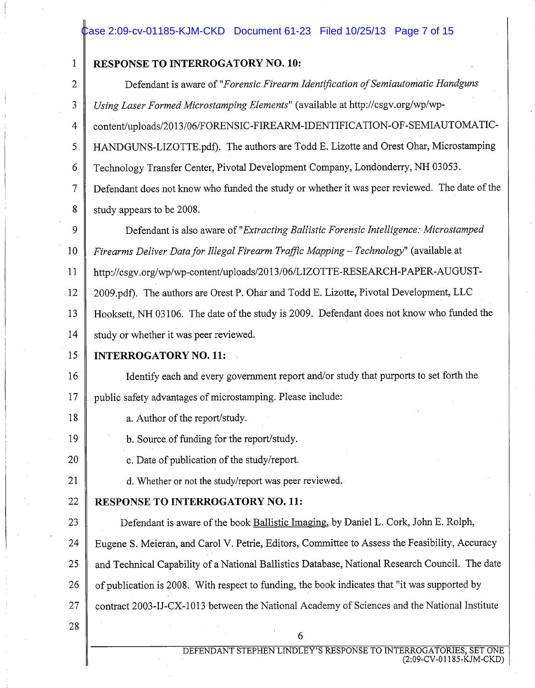#### $\,$   $\rm$  cxe 2:09-cv-01185-KJM-CKD  $\,$  Document 61-23  $\,$  Filed 10/25/13  $\,$  Page 7 of 15  $\,$

#### **RESPONSE TO INTERROGATORY NO. 10:**

Defendant is aware of "Forensic Firearm Identification of Semiautomatic Handguns  $\overline{2}$ Using Laser Formed Microstamping Elements" (available at http://csgv.org/wp/wp- $\overline{3}$ content/uploads/2013/06/FORENSIC-FIREARM-IDENTIFICATION-OF-SEMIAUTOMATIC- $\overline{4}$ HANDGUNS-LIZOTTE.pdf). The authors are Todd E. Lizotte and Orest Ohar, Microstamping 5 6 Technology Transfer Center, Pivotal Development Company, Londonderry, NH 03053.  $\overline{7}$ Defendant does not know who funded the study or whether it was peer reviewed. The date of the 8 study appears to be 2008. 9 Defendant is also aware of "Extracting Ballistic Forensic Intelligence: Microstamped 10 Firearms Deliver Data for Illegal Firearm Traffic Mapping - Technology" (available at http://csgv.org/wp/wp-content/uploads/2013/06/LIZOTTE-RESEARCH-PAPER-AUGUST-11 12 2009.pdf). The authors are Orest P. Ohar and Todd E. Lizotte, Pivotal Development, LLC Hooksett, NH 03106. The date of the study is 2009. Defendant does not know who funded the 13 14 study or whether it was peer reviewed. 15 **INTERROGATORY NO. 11:** Identify each and every government report and/or study that purports to set forth the 16

17 public safety advantages of microstamping. Please include:

- 18 a. Author of the report/study.
	- b. Source of funding for the report/study.
	- c. Date of publication of the study/report.
		- d. Whether or not the study/report was peer reviewed.
- 22 **RESPONSE TO INTERROGATORY NO. 11:**
- Defendant is aware of the book Ballistic Imaging, by Daniel L. Cork, John E. Rolph, 23

24 Eugene S. Meieran, and Carol V. Petrie, Editors, Committee to Assess the Feasibility, Accuracy

and Technical Capability of a National Ballistics Database, National Research Council. The date 25

26 of publication is 2008. With respect to funding, the book indicates that "it was supported by

- 27 contract 2003-IJ-CX-1013 between the National Academy of Sciences and the National Institute
- 28

19

20

21

 $\mathbf{1}$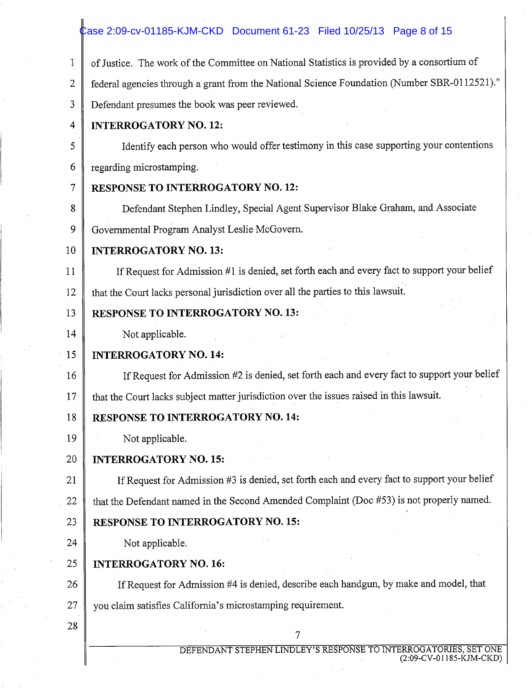## **Case 2:09-cv-01185-KJM-CKD** Document 61-23 Filed 10/25/13 Page 8 of 15

| 1              | of Justice. The work of the Committee on National Statistics is provided by a consortium of  |
|----------------|----------------------------------------------------------------------------------------------|
| $\overline{2}$ | federal agencies through a grant from the National Science Foundation (Number SBR-0112521)." |
| 3              | Defendant presumes the book was peer reviewed.                                               |
| $\overline{4}$ | <b>INTERROGATORY NO. 12:</b>                                                                 |
| 5              | Identify each person who would offer testimony in this case supporting your contentions      |
| 6              | regarding microstamping.                                                                     |
| 7              | <b>RESPONSE TO INTERROGATORY NO. 12:</b>                                                     |
| 8              | Defendant Stephen Lindley, Special Agent Supervisor Blake Graham, and Associate              |
| 9              | Governmental Program Analyst Leslie McGovern.                                                |
| 10             | <b>INTERROGATORY NO. 13:</b>                                                                 |
| 11             | If Request for Admission #1 is denied, set forth each and every fact to support your belief  |
| 12             | that the Court lacks personal jurisdiction over all the parties to this lawsuit.             |
| 13             | <b>RESPONSE TO INTERROGATORY NO. 13:</b>                                                     |
| 14             | Not applicable.                                                                              |
| 15             | <b>INTERROGATORY NO. 14:</b>                                                                 |
| 16             | If Request for Admission #2 is denied, set forth each and every fact to support your belief  |
| 17             | that the Court lacks subject matter jurisdiction over the issues raised in this lawsuit.     |
| 18             | <b>RESPONSE TO INTERROGATORY NO. 14:</b>                                                     |
| 19             | Not applicable.                                                                              |
| 20             | <b>INTERROGATORY NO. 15:</b>                                                                 |
| 21             | If Request for Admission #3 is denied, set forth each and every fact to support your belief  |
| 22             | that the Defendant named in the Second Amended Complaint (Doc #53) is not properly named.    |
| 23             | <b>RESPONSE TO INTERROGATORY NO. 15:</b>                                                     |
| 24             | Not applicable.                                                                              |
| 25             | <b>INTERROGATORY NO. 16:</b>                                                                 |
| 26             | If Request for Admission #4 is denied, describe each handgun, by make and model, that        |
| 27             | you claim satisfies California's microstamping requirement.                                  |
| 28             | 7                                                                                            |
|                | DEFENDANT STEPHEN LINDLEY'S RESPONSE TO INTERROGATORIES, SET ONE                             |
|                | (2:09-CV-01185-KJM-CKD)                                                                      |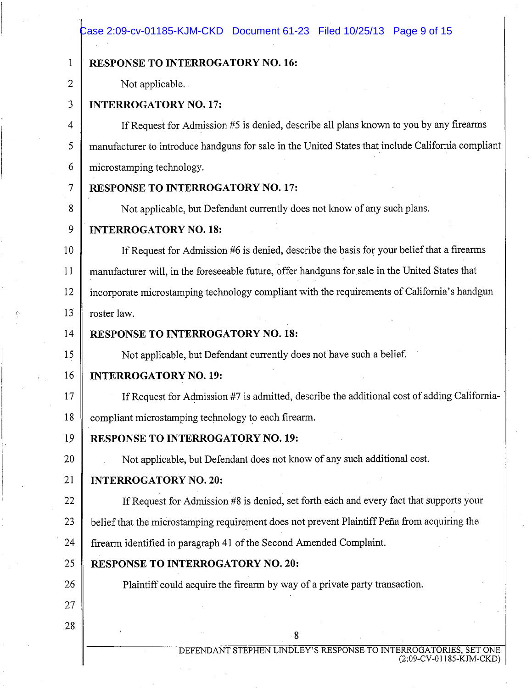### Case 2:09-cv-01185-KJM-CKD Document 61-23 Filed 10/25/13 Page 9 of 15

| 1  | <b>RESPONSE TO INTERROGATORY NO. 16:</b>                                                           |  |  |  |  |
|----|----------------------------------------------------------------------------------------------------|--|--|--|--|
| 2  | Not applicable.                                                                                    |  |  |  |  |
| 3  | <b>INTERROGATORY NO. 17:</b>                                                                       |  |  |  |  |
| 4  | If Request for Admission #5 is denied, describe all plans known to you by any firearms             |  |  |  |  |
| 5  | manufacturer to introduce handguns for sale in the United States that include California compliant |  |  |  |  |
| 6  | microstamping technology.                                                                          |  |  |  |  |
| 7  | <b>RESPONSE TO INTERROGATORY NO. 17:</b>                                                           |  |  |  |  |
| 8  | Not applicable, but Defendant currently does not know of any such plans.                           |  |  |  |  |
| 9  | <b>INTERROGATORY NO. 18:</b>                                                                       |  |  |  |  |
| 10 | If Request for Admission #6 is denied, describe the basis for your belief that a firearms          |  |  |  |  |
| 11 | manufacturer will, in the foreseeable future, offer handguns for sale in the United States that    |  |  |  |  |
| 12 | incorporate microstamping technology compliant with the requirements of California's handgun       |  |  |  |  |
| 13 | roster law.                                                                                        |  |  |  |  |
| 14 | <b>RESPONSE TO INTERROGATORY NO. 18:</b>                                                           |  |  |  |  |
| 15 | Not applicable, but Defendant currently does not have such a belief.                               |  |  |  |  |
| 16 | <b>INTERROGATORY NO. 19:</b>                                                                       |  |  |  |  |
| 17 | If Request for Admission #7 is admitted, describe the additional cost of adding California-        |  |  |  |  |
| 18 | compliant microstamping technology to each firearm.                                                |  |  |  |  |
| 19 | <b>RESPONSE TO INTERROGATORY NO. 19:</b>                                                           |  |  |  |  |
| 20 | Not applicable, but Defendant does not know of any such additional cost.                           |  |  |  |  |
| 21 | <b>INTERROGATORY NO. 20:</b>                                                                       |  |  |  |  |
| 22 | If Request for Admission #8 is denied, set forth each and every fact that supports your            |  |  |  |  |
| 23 | belief that the microstamping requirement does not prevent Plaintiff Peña from acquiring the       |  |  |  |  |
| 24 | firearm identified in paragraph 41 of the Second Amended Complaint.                                |  |  |  |  |
| 25 | <b>RESPONSE TO INTERROGATORY NO. 20:</b>                                                           |  |  |  |  |
| 26 | Plaintiff could acquire the firearm by way of a private party transaction.                         |  |  |  |  |
| 27 |                                                                                                    |  |  |  |  |
| 28 | $8^{\circ}$                                                                                        |  |  |  |  |
|    |                                                                                                    |  |  |  |  |

DEFENDANT STEPHEN LINDLEY'S RESPONSE TO INTERROGATORIES, SET ONE (2:09-CV-01185-KJM-CKD)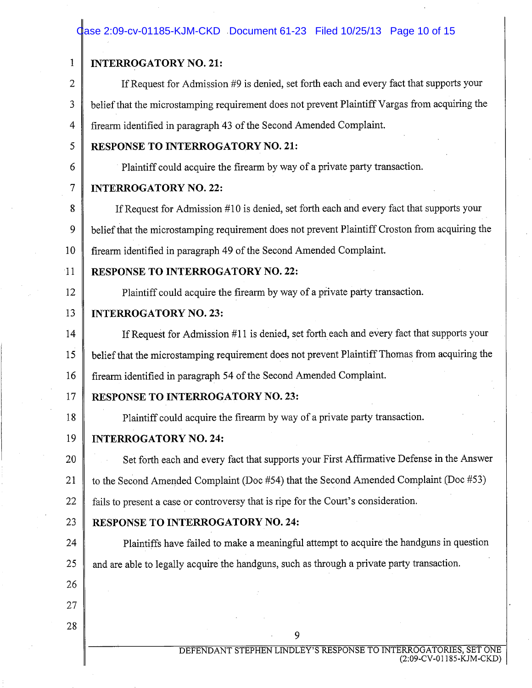## Case 2:09-cv-01185-KJM-CKD Document 61-23 Filed 10/25/13 Page 10 of 15

| 1  | <b>INTERROGATORY NO. 21:</b>                                                                    |  |  |  |  |
|----|-------------------------------------------------------------------------------------------------|--|--|--|--|
| 2  | If Request for Admission #9 is denied, set forth each and every fact that supports your         |  |  |  |  |
| 3  | belief that the microstamping requirement does not prevent Plaintiff Vargas from acquiring the  |  |  |  |  |
| 4  | firearm identified in paragraph 43 of the Second Amended Complaint.                             |  |  |  |  |
| 5  | <b>RESPONSE TO INTERROGATORY NO. 21:</b>                                                        |  |  |  |  |
| 6  | Plaintiff could acquire the firearm by way of a private party transaction.                      |  |  |  |  |
| 7  | <b>INTERROGATORY NO. 22:</b>                                                                    |  |  |  |  |
| 8  | If Request for Admission #10 is denied, set forth each and every fact that supports your        |  |  |  |  |
| 9  | belief that the microstamping requirement does not prevent Plaintiff Croston from acquiring the |  |  |  |  |
| 10 | firearm identified in paragraph 49 of the Second Amended Complaint.                             |  |  |  |  |
| 11 | <b>RESPONSE TO INTERROGATORY NO. 22:</b>                                                        |  |  |  |  |
| 12 | Plaintiff could acquire the firearm by way of a private party transaction.                      |  |  |  |  |
| 13 | <b>INTERROGATORY NO. 23:</b>                                                                    |  |  |  |  |
| 14 | If Request for Admission #11 is denied, set forth each and every fact that supports your        |  |  |  |  |
| 15 | belief that the microstamping requirement does not prevent Plaintiff Thomas from acquiring the  |  |  |  |  |
| 16 | firearm identified in paragraph 54 of the Second Amended Complaint.                             |  |  |  |  |
| 17 | <b>RESPONSE TO INTERROGATORY NO. 23:</b>                                                        |  |  |  |  |
| 18 | Plaintiff could acquire the firearm by way of a private party transaction.                      |  |  |  |  |
| 19 | <b>INTERROGATORY NO. 24:</b>                                                                    |  |  |  |  |
| 20 | Set forth each and every fact that supports your First Affirmative Defense in the Answer        |  |  |  |  |
| 21 | to the Second Amended Complaint (Doc #54) that the Second Amended Complaint (Doc #53)           |  |  |  |  |
| 22 | fails to present a case or controversy that is ripe for the Court's consideration.              |  |  |  |  |
| 23 | <b>RESPONSE TO INTERROGATORY NO. 24:</b>                                                        |  |  |  |  |
| 24 | Plaintiffs have failed to make a meaningful attempt to acquire the handguns in question         |  |  |  |  |
| 25 | and are able to legally acquire the handguns, such as through a private party transaction.      |  |  |  |  |
| 26 |                                                                                                 |  |  |  |  |
| 27 |                                                                                                 |  |  |  |  |
| 28 | 9                                                                                               |  |  |  |  |
|    | DEFENDANT STEPHEN LINDLEY'S RESPONSE TO INTERROGATORIES, SET ON                                 |  |  |  |  |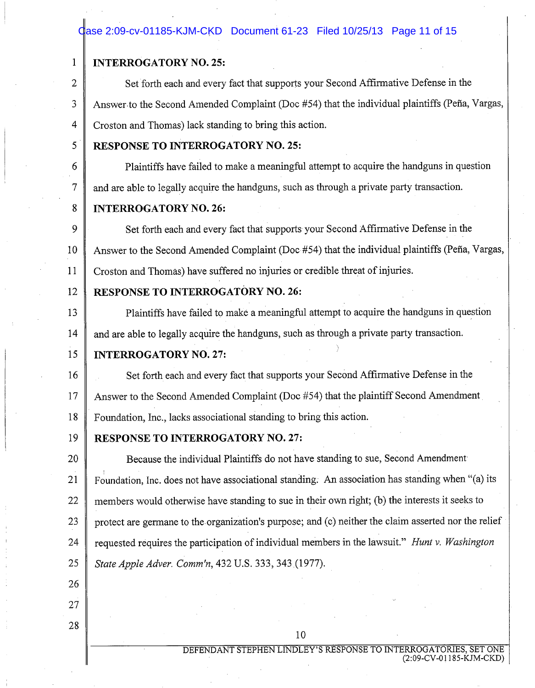### dase 2:09-cv-01185-KJM-CKD Document 61-23 Filed 10/25/13 Page 11 of 15

#### **INTERROGATORY NO. 25:**

Set forth each and every fact that supports your Second Affirmative Defense in the  $\overline{2}$  $\overline{3}$ Answer to the Second Amended Complaint (Doc #54) that the individual plaintiffs (Peña, Vargas,  $\overline{4}$ Croston and Thomas) lack standing to bring this action.

5

6

 $\tau$ 

 $\mathbf{1}$ 

### **RESPONSE TO INTERROGATORY NO. 25:**

Plaintiffs have failed to make a meaningful attempt to acquire the handguns in question and are able to legally acquire the handguns, such as through a private party transaction.

#### 8 **INTERROGATORY NO. 26:**

Set forth each and every fact that supports your Second Affirmative Defense in the  $\mathbf Q$ Answer to the Second Amended Complaint (Doc #54) that the individual plaintiffs (Peña, Vargas, 10  $11$ Croston and Thomas) have suffered no injuries or credible threat of injuries.

#### 12 **RESPONSE TO INTERROGATORY NO. 26:**

 $13$ Plaintiffs have failed to make a meaningful attempt to acquire the handguns in question 14 and are able to legally acquire the handguns, such as through a private party transaction.

#### 15 **INTERROGATORY NO. 27:**

Set forth each and every fact that supports your Second Affirmative Defense in the 16 17 Answer to the Second Amended Complaint (Doc #54) that the plaintiff Second Amendment Foundation, Inc., lacks associational standing to bring this action. 18

#### 19 **RESPONSE TO INTERROGATORY NO. 27:**

20 Because the individual Plaintiffs do not have standing to sue, Second Amendment Foundation, Inc. does not have associational standing. An association has standing when "(a) its 21 22 members would otherwise have standing to sue in their own right; (b) the interests it seeks to protect are germane to the organization's purpose; and (c) neither the claim asserted nor the relief 23 requested requires the participation of individual members in the lawsuit." Hunt v. Washington 24 25 State Apple Adver. Comm'n, 432 U.S. 333, 343 (1977).

26

27 28

10

DEFENDANT STEPHEN LINDLEY'S RESPONSE TO INTERROGATORIES, SET ONE (2:09-CV-01185-KJM-CKD)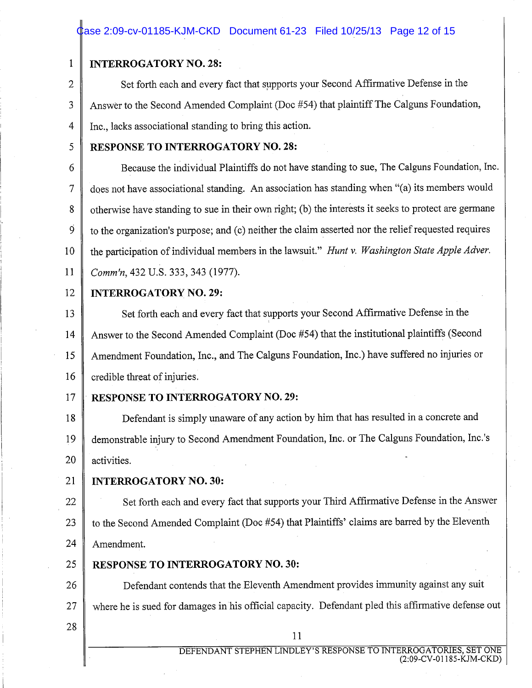### Case 2:09-cv-01185-KJM-CKD Document 61-23 Filed 10/25/13 Page 12 of 15

### **INTERROGATORY NO. 28:**

Set forth each and every fact that supports your Second Affirmative Defense in the  $\overline{2}$ Answer to the Second Amended Complaint (Doc #54) that plaintiff The Calguns Foundation, 3  $\overline{4}$ Inc., lacks associational standing to bring this action.

5

 $\mathbf{1}$ 

### **RESPONSE TO INTERROGATORY NO. 28:**

Because the individual Plaintiffs do not have standing to sue, The Calguns Foundation, Inc. 6 does not have associational standing. An association has standing when "(a) its members would  $\overline{7}$ otherwise have standing to sue in their own right; (b) the interests it seeks to protect are germane 8  $\dot{9}$ to the organization's purpose; and (c) neither the claim asserted nor the relief requested requires the participation of individual members in the lawsuit." Hunt v. Washington State Apple Adver. 10 11 Comm'n, 432 U.S. 333, 343 (1977).

12

#### **INTERROGATORY NO. 29:**

Set forth each and every fact that supports your Second Affirmative Defense in the 13 Answer to the Second Amended Complaint (Doc #54) that the institutional plaintiffs (Second 14 Amendment Foundation, Inc., and The Calguns Foundation, Inc.) have suffered no injuries or 15 16 credible threat of injuries.

#### 17 **RESPONSE TO INTERROGATORY NO. 29:**

Defendant is simply unaware of any action by him that has resulted in a concrete and 18 demonstrable injury to Second Amendment Foundation, Inc. or The Calguns Foundation, Inc.'s 19 20 activities.

21 **INTERROGATORY NO. 30:** 

Set forth each and every fact that supports your Third Affirmative Defense in the Answer 22 to the Second Amended Complaint (Doc #54) that Plaintiffs' claims are barred by the Eleventh 23

24 Amendment.

25 **RESPONSE TO INTERROGATORY NO. 30:** 

26 Defendant contends that the Eleventh Amendment provides immunity against any suit where he is sued for damages in his official capacity. Defendant pled this affirmative defense out 27

28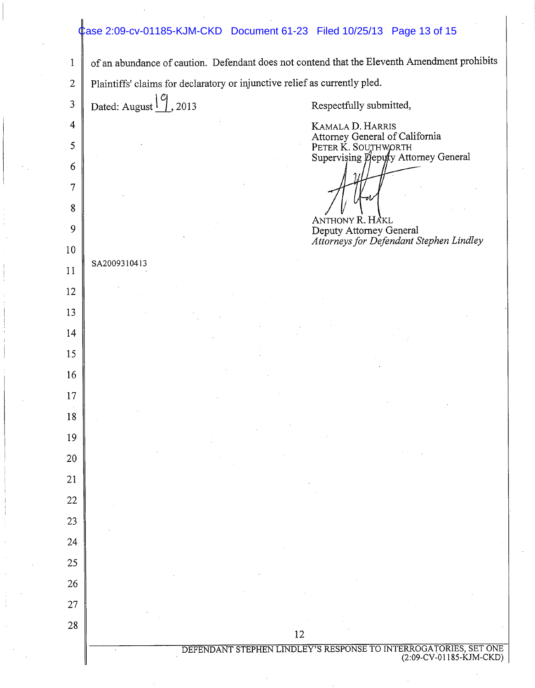## Case 2:09-cv-01185-KJM-CKD Document 61-23 Filed 10/25/13 Page 13 of 15

|                                                                | Plaintiffs' claims for declaratory or injunctive relief as currently pled. |    |                         |                                         |  |
|----------------------------------------------------------------|----------------------------------------------------------------------------|----|-------------------------|-----------------------------------------|--|
| Dated: August $\boxed{\frac{\textdegree}{\textdegree}}$ , 2013 |                                                                            |    | Respectfully submitted, |                                         |  |
|                                                                |                                                                            |    | KAMALA D. HARRIS        | Attorney General of California          |  |
|                                                                |                                                                            |    | PETER K. SOUTHWORTH     | Supervising Deputy Attorney General     |  |
|                                                                |                                                                            |    |                         |                                         |  |
|                                                                |                                                                            |    |                         |                                         |  |
|                                                                |                                                                            |    | ANTHONY R. HAKL         | Deputy Attorney General                 |  |
|                                                                |                                                                            |    |                         | Attorneys for Defendant Stephen Lindley |  |
| SA2009310413                                                   |                                                                            |    |                         |                                         |  |
|                                                                |                                                                            |    |                         |                                         |  |
|                                                                |                                                                            |    |                         |                                         |  |
|                                                                |                                                                            |    |                         |                                         |  |
|                                                                |                                                                            |    |                         |                                         |  |
|                                                                |                                                                            |    |                         |                                         |  |
|                                                                |                                                                            |    |                         |                                         |  |
|                                                                |                                                                            |    |                         |                                         |  |
|                                                                |                                                                            |    |                         |                                         |  |
|                                                                |                                                                            |    |                         |                                         |  |
|                                                                |                                                                            |    |                         |                                         |  |
|                                                                |                                                                            |    |                         |                                         |  |
|                                                                |                                                                            |    |                         |                                         |  |
|                                                                |                                                                            |    |                         |                                         |  |
|                                                                |                                                                            |    |                         |                                         |  |
|                                                                |                                                                            |    |                         |                                         |  |
|                                                                |                                                                            | 12 |                         |                                         |  |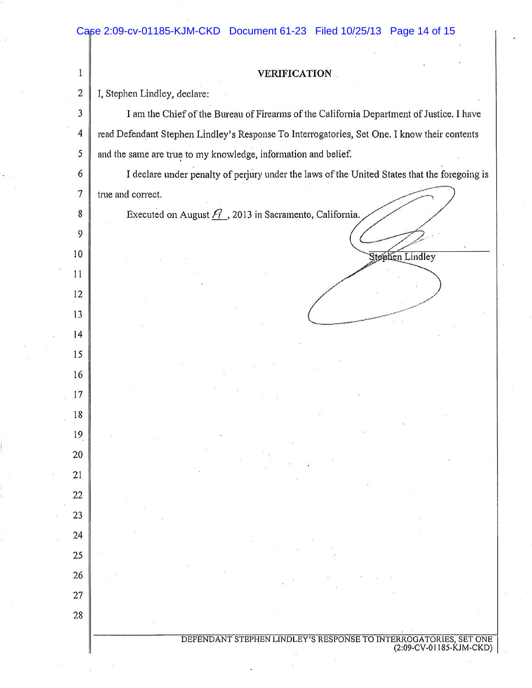Case 2:09-cv-01185-KJM-CKD Document 61-23 Filed 10/25/13 Page 14 of 15

| 1            | <b>VERIFICATION</b>                                                                          |  |  |
|--------------|----------------------------------------------------------------------------------------------|--|--|
| $\mathbf{2}$ | I, Stephen Lindley, declare:                                                                 |  |  |
| 3            | I am the Chief of the Bureau of Firearms of the California Department of Justice. I have     |  |  |
| 4            | read Defendant Stephen Lindley's Response To Interrogatories, Set One. I know their contents |  |  |
| 5            | and the same are true to my knowledge, information and belief.                               |  |  |
| 6            | I declare under penalty of perjury under the laws of the United States that the foregoing is |  |  |
| 7            | true and correct.                                                                            |  |  |
| 8            | Executed on August $\widehat{H}$ , 2013 in Sacramento, California.                           |  |  |
| 9            |                                                                                              |  |  |
| 10           | <b>Stephen Lindley</b>                                                                       |  |  |
| 11           |                                                                                              |  |  |
| 12           |                                                                                              |  |  |
| 13           |                                                                                              |  |  |
| 14           |                                                                                              |  |  |
| 15           |                                                                                              |  |  |
| 16           |                                                                                              |  |  |
| 17           |                                                                                              |  |  |
| 18           |                                                                                              |  |  |
| 19           |                                                                                              |  |  |
| 20           |                                                                                              |  |  |
| 21           |                                                                                              |  |  |
| 22           |                                                                                              |  |  |
| 23           |                                                                                              |  |  |
| 24           |                                                                                              |  |  |
| 25           |                                                                                              |  |  |
| 26           |                                                                                              |  |  |
| 27           |                                                                                              |  |  |
| 28           |                                                                                              |  |  |
|              | DEFENDANT STEPHEN LINDLEY'S RESPONSE TO INTERROGATORIES, SET ONE                             |  |  |
|              | (2:09-CV-01185-KJM-CKD)                                                                      |  |  |